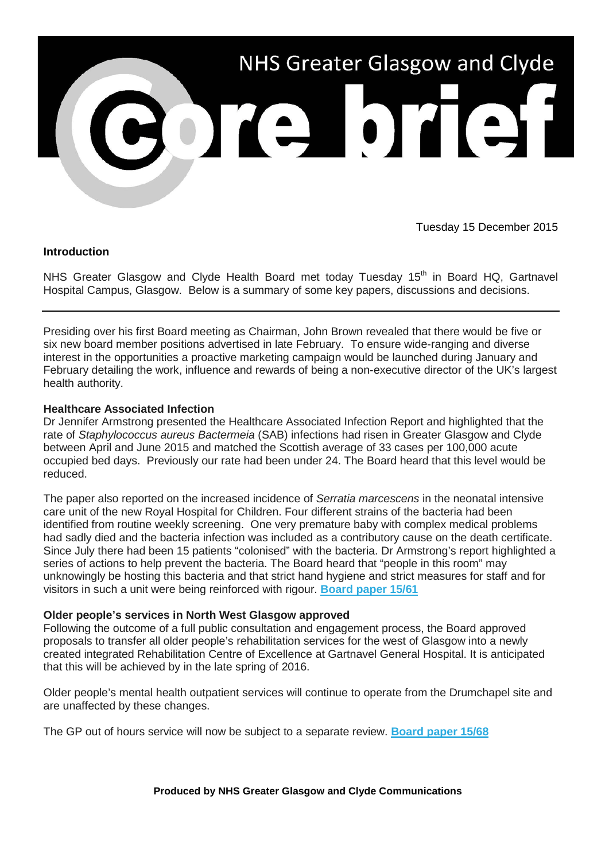

Tuesday 15 December 2015

### **Introduction**

NHS Greater Glasgow and Clyde Health Board met today Tuesday 15<sup>th</sup> in Board HQ, Gartnavel Hospital Campus, Glasgow. Below is a summary of some key papers, discussions and decisions.

Presiding over his first Board meeting as Chairman, John Brown revealed that there would be five or six new board member positions advertised in late February. To ensure wide-ranging and diverse interest in the opportunities a proactive marketing campaign would be launched during January and February detailing the work, influence and rewards of being a non-executive director of the UK's largest health authority.

# **Healthcare Associated Infection**

Dr Jennifer Armstrong presented the Healthcare Associated Infection Report and highlighted that the rate of *Staphylococcus aureus Bactermeia* (SAB) infections had risen in Greater Glasgow and Clyde between April and June 2015 and matched the Scottish average of 33 cases per 100,000 acute occupied bed days. Previously our rate had been under 24. The Board heard that this level would be reduced.

The paper also reported on the increased incidence of *Serratia marcescens* in the neonatal intensive care unit of the new Royal Hospital for Children. Four different strains of the bacteria had been identified from routine weekly screening. One very premature baby with complex medical problems had sadly died and the bacteria infection was included as a contributory cause on the death certificate. Since July there had been 15 patients "colonised" with the bacteria. Dr Armstrong's report highlighted a series of actions to help prevent the bacteria. The Board heard that "people in this room" may unknowingly be hosting this bacteria and that strict hand hygiene and strict measures for staff and for visitors in such a unit were being reinforced with rigour. **[Board paper 15/61](http://nhsggc.us12.list-manage2.com/track/click?u=0f385b5aea37eaf0213bd19fb&id=9ad63e2e09&e=5af5e1832c)**

### **Older people's services in North West Glasgow approved**

Following the outcome of a full public consultation and engagement process, the Board approved proposals to transfer all older people's rehabilitation services for the west of Glasgow into a newly created integrated Rehabilitation Centre of Excellence at Gartnavel General Hospital. It is anticipated that this will be achieved by in the late spring of 2016.

Older people's mental health outpatient services will continue to operate from the Drumchapel site and are unaffected by these changes.

The GP out of hours service will now be subject to a separate review. **[Board paper 15/68](http://nhsggc.us12.list-manage1.com/track/click?u=0f385b5aea37eaf0213bd19fb&id=3a57503c4f&e=5af5e1832c)**